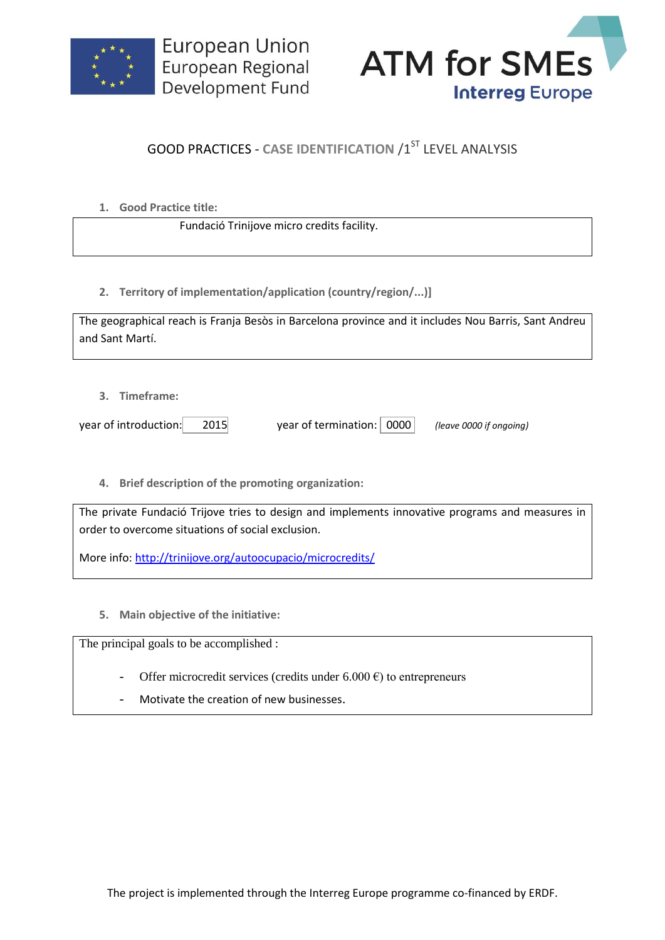



## **GOOD PRACTICES - CASE IDENTIFICATION /1ST LEVEL ANALYSIS**

**1. Good Practice title:**

Fundació Trinijove micro credits facility.

**2. Territory of implementation/application (country/region/...)]**

| The geographical reach is Franja Besòs in Barcelona province and it includes Nou Barris, Sant Andreu |  |
|------------------------------------------------------------------------------------------------------|--|
| and Sant Martí.                                                                                      |  |

**3. Timeframe:**

year of introduction: 2015 year of termination: 0000 *(leave 0000 if ongoing)*

**4. Brief description of the promoting organization:**

The private Fundació Trijove tries to design and implements innovative programs and measures in order to overcome situations of social exclusion.

More info: <http://trinijove.org/autoocupacio/microcredits/>

**5. Main objective of the initiative:**

The principal goals to be accomplished :

- Offer microcredit services (credits under 6.000  $\epsilon$ ) to entrepreneurs
- Motivate the creation of new businesses.